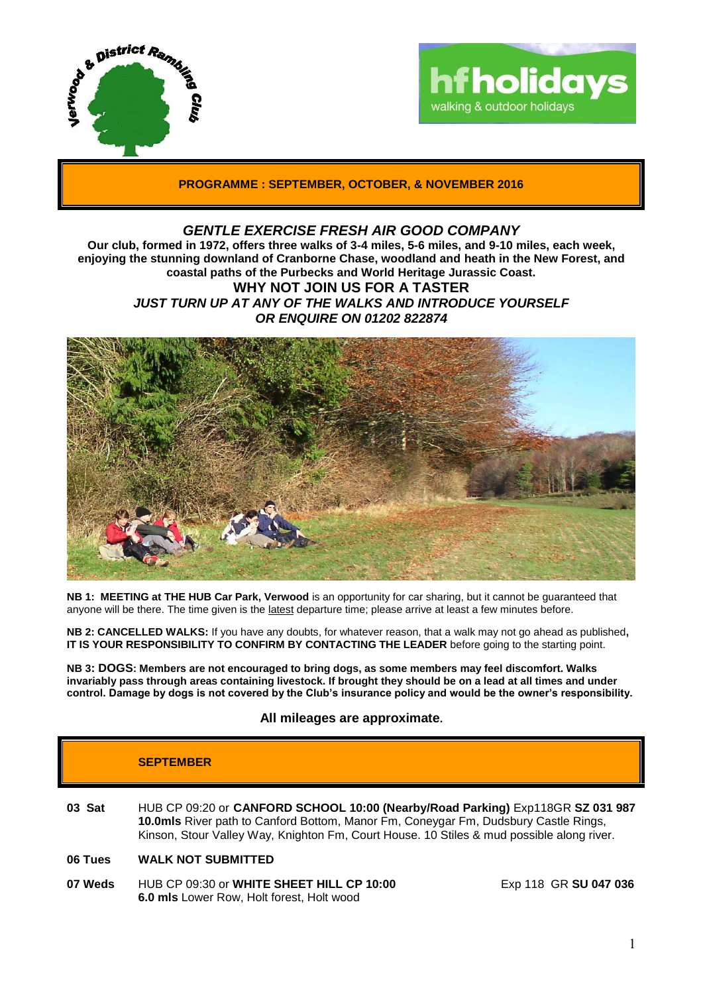



**PROGRAMME : SEPTEMBER, OCTOBER, & NOVEMBER 2016**

# *GENTLE EXERCISE FRESH AIR GOOD COMPANY*

**Our club, formed in 1972, offers three walks of 3-4 miles, 5-6 miles, and 9-10 miles, each week, enjoying the stunning downland of Cranborne Chase, woodland and heath in the New Forest, and coastal paths of the Purbecks and World Heritage Jurassic Coast. WHY NOT JOIN US FOR A TASTER**

*JUST TURN UP AT ANY OF THE WALKS AND INTRODUCE YOURSELF OR ENQUIRE ON 01202 822874*



**NB 1: MEETING at THE HUB Car Park, Verwood** is an opportunity for car sharing, but it cannot be guaranteed that anyone will be there. The time given is the latest departure time; please arrive at least a few minutes before.

**NB 2: CANCELLED WALKS:** If you have any doubts, for whatever reason, that a walk may not go ahead as published**, IT IS YOUR RESPONSIBILITY TO CONFIRM BY CONTACTING THE LEADER** before going to the starting point.

**NB 3: DOGS: Members are not encouraged to bring dogs, as some members may feel discomfort. Walks invariably pass through areas containing livestock. If brought they should be on a lead at all times and under control. Damage by dogs is not covered by the Club's insurance policy and would be the owner's responsibility.**

**All mileages are approximate.**

# **SEPTEMBER**

- **03 Sat** HUB CP 09:20 or **CANFORD SCHOOL 10:00 (Nearby/Road Parking)** Exp118GR **SZ 031 987 10.0mls** River path to Canford Bottom, Manor Fm, Coneygar Fm, Dudsbury Castle Rings, Kinson, Stour Valley Way, Knighton Fm, Court House. 10 Stiles & mud possible along river.
- **06 Tues WALK NOT SUBMITTED**
- **07 Weds** HUB CP 09:30 or **WHITE SHEET HILL CP 10:00** Exp 118 GR **SU 047 036 6.0 mls** Lower Row, Holt forest, Holt wood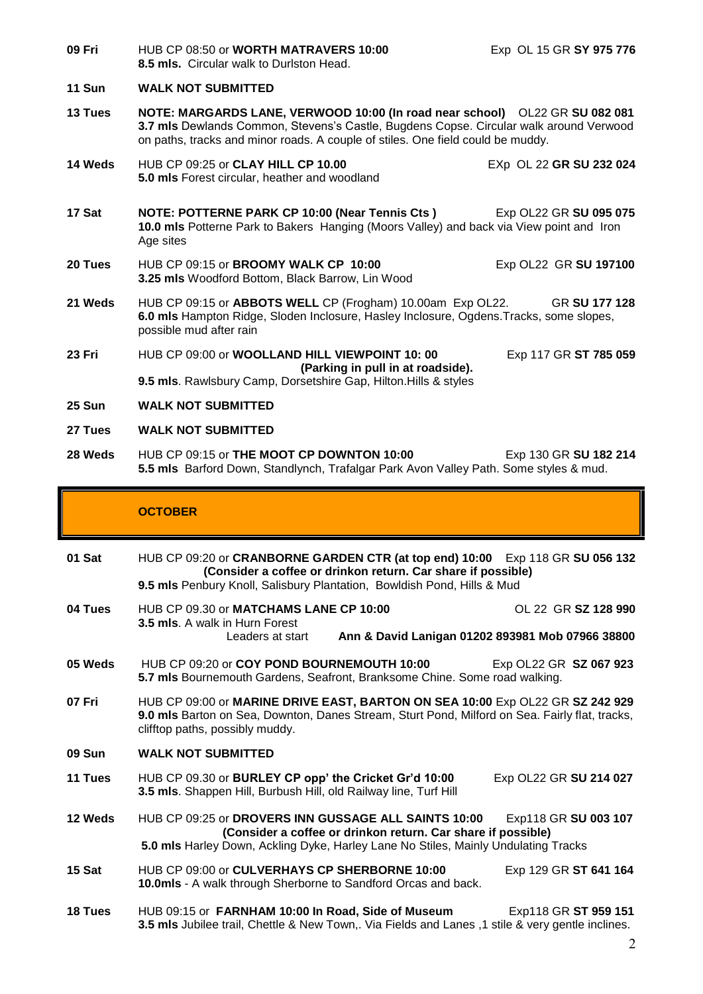**11 Sun WALK NOT SUBMITTED 13 Tues NOTE: MARGARDS LANE, VERWOOD 10:00 (In road near school)** OL22 GR **SU 082 081 3.7 mls** Dewlands Common, Stevens's Castle, Bugdens Copse. Circular walk around Verwood on paths, tracks and minor roads. A couple of stiles. One field could be muddy. **14 Weds** HUB CP 09:25 or **CLAY HILL CP 10.00** EXp OL 22 **GR SU 232 024 5.0 mls** Forest circular, heather and woodland **17 Sat NOTE: POTTERNE PARK CP 10:00 (Near Tennis Cts )** Exp OL22 GR **SU 095 075 10.0 mls** Potterne Park to Bakers Hanging (Moors Valley) and back via View point and Iron Age sites **20 Tues** HUB CP 09:15 or **BROOMY WALK CP 10:00** Exp OL22 GR **SU 197100 3.25 mls** Woodford Bottom, Black Barrow, Lin Wood **21 Weds** HUB CP 09:15 or **ABBOTS WELL** CP (Frogham) 10.00am Exp OL22. GR **SU 177 128 6.0 mls** Hampton Ridge, Sloden Inclosure, Hasley Inclosure, Ogdens.Tracks, some slopes, possible mud after rain **23 Fri** HUB CP 09:00 or **WOOLLAND HILL VIEWPOINT 10: 00** Exp 117 GR **ST 785 059 (Parking in pull in at roadside). 9.5 mls**. Rawlsbury Camp, Dorsetshire Gap, Hilton.Hills & styles **25 Sun WALK NOT SUBMITTED 27 Tues WALK NOT SUBMITTED 28 Weds** HUB CP 09:15 or **THE MOOT CP DOWNTON 10:00** Exp 130 GR SU 182 214 **5.5 mls** Barford Down, Standlynch, Trafalgar Park Avon Valley Path. Some styles & mud. **OCTOBER 01 Sat** HUB CP 09:20 or **CRANBORNE GARDEN CTR (at top end) 10:00** Exp 118 GR **SU 056 132 (Consider a coffee or drinkon return. Car share if possible) 9.5 mls** Penbury Knoll, Salisbury Plantation, Bowldish Pond, Hills & Mud **04 Tues** HUB CP 09.30 or **MATCHAMS LANE CP 10:00** OL 22 GR **SZ 128 990 3.5 mls**. A walk in Hurn Forest Leaders at start **Ann & David Lanigan 01202 893981 Mob 07966 38800 05 Weds** HUB CP 09:20 or **COY POND BOURNEMOUTH 10:00** Exp OL22 GR **SZ 067 923 5.7 mls** Bournemouth Gardens, Seafront, Branksome Chine. Some road walking. **07 Fri** HUB CP 09:00 or **MARINE DRIVE EAST, BARTON ON SEA 10:00** Exp OL22 GR **SZ 242 929 9.0 mls** Barton on Sea, Downton, Danes Stream, Sturt Pond, Milford on Sea. Fairly flat, tracks, clifftop paths, possibly muddy. **09 Sun WALK NOT SUBMITTED 11 Tues** HUB CP 09.30 or **BURLEY CP opp' the Cricket Gr'd 10:00** Exp OL22 GR **SU 214 027 3.5 mls**. Shappen Hill, Burbush Hill, old Railway line, Turf Hill **12 Weds** HUB CP 09:25 or **DROVERS INN GUSSAGE ALL SAINTS 10:00** Exp118 GR **SU 003 107 (Consider a coffee or drinkon return. Car share if possible) 5.0 mls** Harley Down, Ackling Dyke, Harley Lane No Stiles, Mainly Undulating Tracks **15 Sat** HUB CP 09:00 or **CULVERHAYS CP SHERBORNE 10:00** Exp 129 GR **ST 641 164 10.0mls** - A walk through Sherborne to Sandford Orcas and back.

**09 Fri** HUB CP 08:50 or **WORTH MATRAVERS 10:00** Exp OL 15 GR **SY 975 776**

**8.5 mls.** Circular walk to Durlston Head.

**18 Tues** HUB 09:15 or **FARNHAM 10:00 In Road, Side of Museum** Exp118 GR **ST 959 151 3.5 mls** Jubilee trail, Chettle & New Town,. Via Fields and Lanes ,1 stile & very gentle inclines.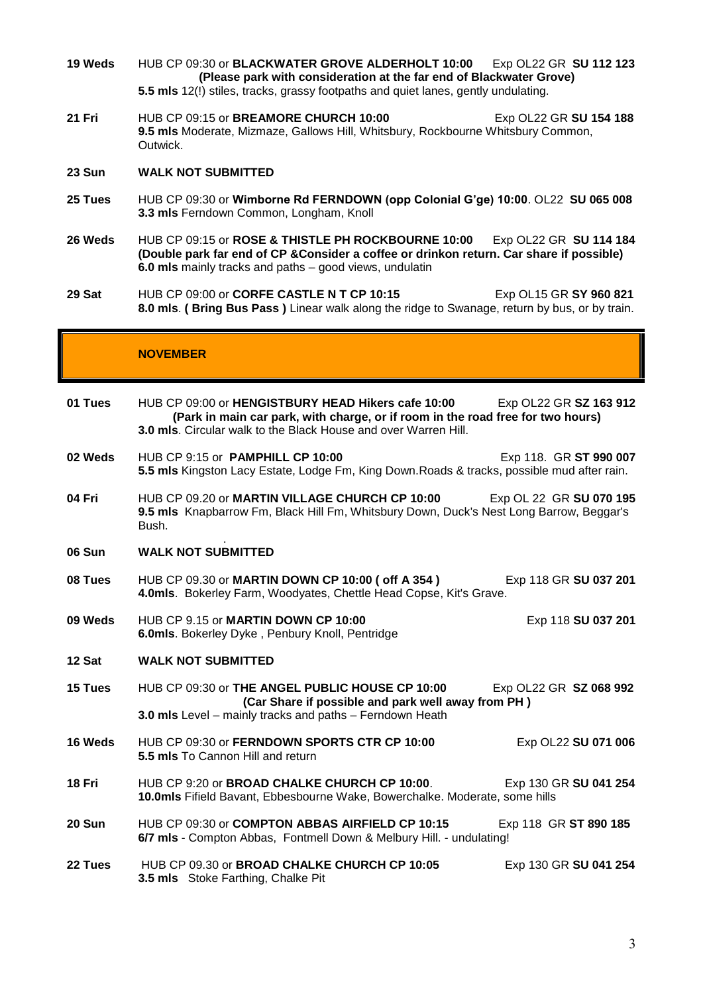- **19 Weds** HUB CP 09:30 or **BLACKWATER GROVE ALDERHOLT 10:00** Exp OL22 GR **SU 112 123 (Please park with consideration at the far end of Blackwater Grove) 5.5 mls** 12(!) stiles, tracks, grassy footpaths and quiet lanes, gently undulating.
- **21 Fri** HUB CP 09:15 or **BREAMORE CHURCH 10:00** Exp OL22 GR **SU 154 188 9.5 mls** Moderate, Mizmaze, Gallows Hill, Whitsbury, Rockbourne Whitsbury Common, Outwick.

### **23 Sun WALK NOT SUBMITTED**

- **25 Tues** HUB CP 09:30 or **Wimborne Rd FERNDOWN (opp Colonial G'ge) 10:00**. OL22 **SU 065 008 3.3 mls** Ferndown Common, Longham, Knoll
- **26 Weds** HUB CP 09:15 or **ROSE & THISTLE PH ROCKBOURNE 10:00** Exp OL22 GR **SU 114 184 (Double park far end of CP &Consider a coffee or drinkon return. Car share if possible) 6.0 mls** mainly tracks and paths – good views, undulatin
- **29 Sat** HUB CP 09:00 or **CORFE CASTLE N T CP 10:15** Exp OL15 GR **SY 960 821 8.0 mls**. **( Bring Bus Pass )** Linear walk along the ridge to Swanage, return by bus, or by train.

### **NOVEMBER**

| 01 Tues       | HUB CP 09:00 or HENGISTBURY HEAD Hikers cafe 10:00<br>Exp OL22 GR SZ 163 912<br>(Park in main car park, with charge, or if room in the road free for two hours)<br>3.0 mls. Circular walk to the Black House and over Warren Hill. |
|---------------|------------------------------------------------------------------------------------------------------------------------------------------------------------------------------------------------------------------------------------|
| 02 Weds       | HUB CP 9:15 or PAMPHILL CP 10:00<br>Exp 118. GR ST 990 007<br>5.5 mls Kingston Lacy Estate, Lodge Fm, King Down. Roads & tracks, possible mud after rain.                                                                          |
| 04 Fri        | HUB CP 09.20 or MARTIN VILLAGE CHURCH CP 10:00<br>Exp OL 22 GR SU 070 195<br>9.5 mls Knapbarrow Fm, Black Hill Fm, Whitsbury Down, Duck's Nest Long Barrow, Beggar's<br>Bush.                                                      |
| <b>06 Sun</b> | <b>WALK NOT SUBMITTED</b>                                                                                                                                                                                                          |
| 08 Tues       | HUB CP 09.30 or MARTIN DOWN CP 10:00 ( off A 354 )<br>Exp 118 GR SU 037 201<br>4.0mls. Bokerley Farm, Woodyates, Chettle Head Copse, Kit's Grave.                                                                                  |
| 09 Weds       | HUB CP 9.15 or MARTIN DOWN CP 10:00<br>Exp 118 SU 037 201<br>6.0mls. Bokerley Dyke, Penbury Knoll, Pentridge                                                                                                                       |
| 12 Sat        | <b>WALK NOT SUBMITTED</b>                                                                                                                                                                                                          |
| 15 Tues       | HUB CP 09:30 or THE ANGEL PUBLIC HOUSE CP 10:00<br>Exp OL22 GR SZ 068 992<br>(Car Share if possible and park well away from PH)<br>3.0 mls Level - mainly tracks and paths - Ferndown Heath                                        |
| 16 Weds       | HUB CP 09:30 or FERNDOWN SPORTS CTR CP 10:00<br>Exp OL22 SU 071 006<br>5.5 mls To Cannon Hill and return                                                                                                                           |
| 18 Fri        | HUB CP 9:20 or BROAD CHALKE CHURCH CP 10:00.<br>Exp 130 GR SU 041 254<br>10.0mls Fifield Bavant, Ebbesbourne Wake, Bowerchalke. Moderate, some hills                                                                               |
| <b>20 Sun</b> | HUB CP 09:30 or COMPTON ABBAS AIRFIELD CP 10:15<br>Exp 118 GR ST 890 185<br>6/7 mls - Compton Abbas, Fontmell Down & Melbury Hill. - undulating!                                                                                   |
| 22 Tues       | HUB CP 09.30 or BROAD CHALKE CHURCH CP 10:05<br>Exp 130 GR SU 041 254<br>3.5 mls Stoke Farthing, Chalke Pit                                                                                                                        |